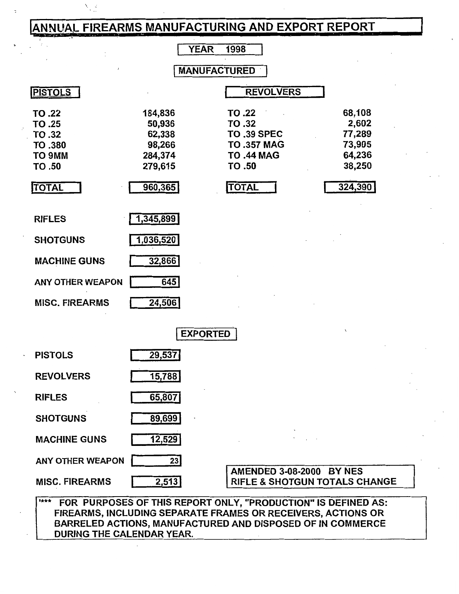# **ANNUAL FIREARMS MANUFACTURING AND EXPORT REPORT**

'·

SHOTGUNS 89,699

MACHINE GUNS 12,529

ANY OTHER WEAPON 23

|                                                           |                                                             | <b>YEAR</b><br>1998                                                                               |                                                         |
|-----------------------------------------------------------|-------------------------------------------------------------|---------------------------------------------------------------------------------------------------|---------------------------------------------------------|
|                                                           |                                                             | <b>MANUFACTURED</b>                                                                               |                                                         |
| <b>PISTOLS</b>                                            |                                                             | <b>REVOLVERS</b>                                                                                  |                                                         |
| TO .22<br>TO .25<br>TO .32<br>TO .380<br>TO 9MM<br>TO .50 | 184,836<br>50,936<br>62,338<br>98,266<br>284,374<br>279,615 | TO .22<br><b>TO.32</b><br><b>TO .39 SPEC</b><br><b>TO .357 MAG</b><br><b>TO .44 MAG</b><br>TO .50 | 68,108<br>2,602<br>77,289<br>73,905<br>64,236<br>38,250 |
| <b>TOTAL</b>                                              | 960,365                                                     | <b>TOTAL</b>                                                                                      | 324,390                                                 |
| <b>RIFLES</b>                                             | 1,345,899                                                   |                                                                                                   |                                                         |
| <b>SHOTGUNS</b>                                           | 1,036,520                                                   |                                                                                                   |                                                         |
| <b>MACHINE GUNS</b>                                       | 32,866                                                      |                                                                                                   |                                                         |
| <b>ANY OTHER WEAPON</b>                                   | $\overline{645}$                                            |                                                                                                   |                                                         |
| <b>MISC. FIREARMS</b>                                     | 24,506                                                      |                                                                                                   |                                                         |
|                                                           |                                                             | <b>EXPORTED</b>                                                                                   |                                                         |
| <b>PISTOLS</b>                                            | 29,537                                                      |                                                                                                   |                                                         |
| <b>REVOLVERS</b>                                          | 15,788                                                      |                                                                                                   |                                                         |
| <b>RIFLES</b>                                             | 65,807                                                      |                                                                                                   |                                                         |

'\*\*\* FOR PURPOSES OF THIS REPORT ONLY, "PRODUCTION" IS DEFINED AS: FIREARMS, INCLUDING SEPARATE FRAMES OR RECEIVERS, ACTIONS OR BARRELED ACTIONS, MANUFACTURED AND DISPOSED OF IN COMMERCE DURING THE CALENDAR YEAR.

MISC. FIREARMS 2,513 | RIFLE & SHOTGUN TOTALS CHANGE

AMENDED 3-08-2000 BYNES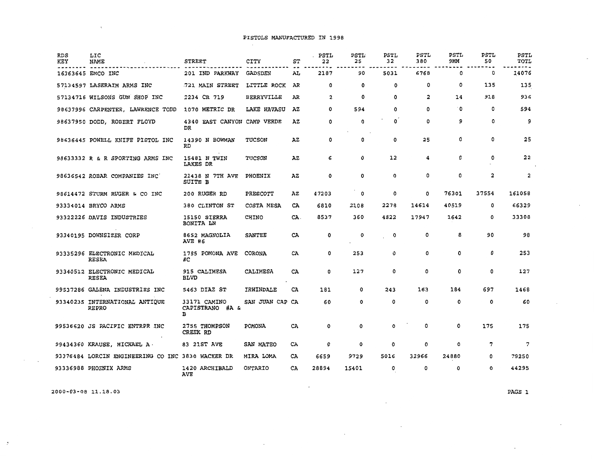$\sim$ 

| <b>RDS</b><br>KEY | LIC<br>NAME                                       | <b>STREET</b>                        | CITY            | ST  | . PSTL<br>22 | PSTL<br>25 | PSTL<br>32  | PSTL<br>380 | PSTL<br>9MM | <b>PSTL</b><br>50 | PSTL<br>TOTL            |
|-------------------|---------------------------------------------------|--------------------------------------|-----------------|-----|--------------|------------|-------------|-------------|-------------|-------------------|-------------------------|
|                   | 16363645 EMCO INC                                 | 201 IND PARKWAY                      | GADSDEN         | AL  | 2187         | 90         | 5031        | 6768        | 0           | 0                 | 14076                   |
|                   | 57134597 LASERAIM ARMS INC                        | 721 MAIN STREET                      | LITTLE ROCK     | AR  | ٥            | 0          | 0           | 0           | 0           | 135               | 135                     |
|                   | 57134716 WILSONS GUN SHOP INC                     | 2234 CR 719                          | BERRYVILLE      | AR  | 2            | 0          | 0           | 2           | 14          | 918               | 936                     |
|                   | 98637996 CARPENTER, LAWRENCE TODD                 | 1070 METRIC DR                       | LAKE HAVASU     | ΑZ  | 0            | 594        | 0           | 0           | ۰0          | 0                 | 594                     |
|                   | 98637950 DODD, ROBERT FLOYD                       | 4340 EAST CANYON CAMP VERDE<br>DR    |                 | ΑZ  | 0            | 0          | 0           | 0           | 9           | 0                 | 9                       |
|                   | 98636445 POWELL KNIFE PISTOL INC                  | 14390 N BOWMAN<br><b>RD</b>          | TUCSON          | ΑZ  | 0            | 0          | 0           | 25          | Ö           | 0                 | 25                      |
|                   | 98633332 R & R SPORTING ARMS INC                  | 15481 N TWIN<br>LAKES DR             | TUCSON          | AZ  | 6            | ٥          | 12          | 4           | 0           | 0                 | 22                      |
|                   | 98636542 ROBAR COMPANIES INC                      | 21438 N 7TH AVE<br>SUITE B           | PHOENIX         | AZ  | 0            | 0          | 0           | 0           | 0           | 2                 | $\overline{\mathbf{2}}$ |
|                   | 98614472 STURM RUGER & CO INC                     | 200 RUGER RD                         | PRESCOTT        | AZ  | 47203        | 0          | 0           | 0           | 76301       | 37554             | 161058                  |
|                   | 93334014 BRYCO ARMS                               | 380 CLINTON ST                       | COSTA MESA      | CA  | 6810         | 2108       | 2278        | 14614       | 40519       | 0                 | 66329                   |
|                   | 93322226 DAVIS INDUSTRIES                         | 15150 SIERRA<br><b>BONITA LN</b>     | CHINO           | CA. | 8537         | 360        | 4822        | 17947       | 1642        | 0                 | 33308                   |
|                   | 93340195 DOWNSIZER CORP                           | 8652 MAGNOLIA<br><b>AVE #6</b>       | <b>SANTEE</b>   | CA  | 0            | 0          | 0           | 0           | 8           | 90                | 98                      |
|                   | 93335296 ELECTRONIC MEDICAL<br><b>RESEA</b>       | 1785 POMONA AVE<br>#C                | CORONA          | CA  | 0            | 253        | 0           | 0           | 0           | 0                 | 253                     |
|                   | 93340512 ELECTRONIC MEDICAL<br><b>RESEA</b>       | 915 CALIMESA<br>BLVD                 | <b>CALIMESA</b> | CA  | ٥            | 127        | 0           | 0           | 0           | 0                 | 127                     |
|                   | 99537286 GALENA INDUSTRIES INC                    | 5463 DIAZ ST                         | IRWINDALE       | CA  | 181          | 0          | 243         | 163         | 184         | 697               | 1468                    |
|                   | 93340235 INTERNATIONAL ANTIQUE<br>REPRO           | 33171 CAMINO<br>CAPISTRANO #A &<br>в | SAN JUAN CAP CA |     | 60           | 0          | $\mathbf 0$ | ٥           | 0           | 0                 | 60                      |
|                   | 99536620 JS PACIFIC ENTRPR INC                    | 2755 THOMPSON<br>CREEK RD            | <b>POMONA</b>   | CA  | 0            | 0          | 0           | 0           | 0           | 175               | 175                     |
|                   | 99434360 KRAUSE, MICHAEL A.                       | 83 21ST AVE                          | SAN MATEO       | CA  | 0            | 0          | 0           | 0           | 0           | 7                 | $7\phantom{.0}$         |
|                   | 93376484 LORCIN ENGINEERING CO INC 3830 WACKER DR |                                      | MIRA LOMA       | CA  | 6659         | 9729       | 5016        | 32966       | 24880       | 0                 | 79250                   |
|                   | 93336988 PHOENIX ARMS                             | 1420 ARCHIBALD<br><b>AVE</b>         | ONTARIO         | CA  | 28894        | 15401      | 0           | 0           | 0           | 0                 | 44295                   |

 $\cdot$ 

2000-03-08 11.18.03

 $\cdot$  $\sim$ 

 $\ddot{\cdot}$ 

 $\cdot$ 

PAGE 1

÷

 $\cdot$ 

 $\boldsymbol{\gamma}$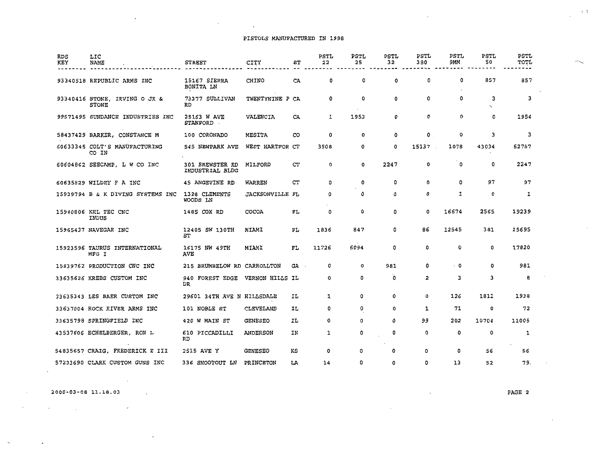#### PISTOLS MANUFACTURED IN 1998

 $\sim 10^{11}$  km s  $^{-1}$ 

 $\sim 100$  km s  $^{-1}$ 

| RDS<br>KEY | LIC<br>NAME                                   | <b>STREET</b>                             | CITY                   | ST   | PSTL<br>22 | PSTL<br>25 | PSTL<br>32 | <b>PSTL</b><br>380 | <b>PSTL</b><br>9MM | PSTL<br>50                | PSTL<br>TOTL |
|------------|-----------------------------------------------|-------------------------------------------|------------------------|------|------------|------------|------------|--------------------|--------------------|---------------------------|--------------|
|            | 93340518 REPUBLIC ARMS INC                    | 15167 SIERRA<br>BONITA LN                 | CHINO                  | СA   | 0          | 0          | 0          | 0                  | 0                  | 857                       | 857          |
|            | 93340416 STONE, IRVING O JR &<br><b>STONE</b> | 73377 SULLIVAN<br>RD                      | TWENTYNINE P CA        |      | 0          | 0          | 0          | 0                  | $\mathbf{o}$       | 3<br>$\ddot{\phantom{0}}$ | 3            |
|            | 99571495 SUNDANCE INDUSTRIES INC              | 25163 W AVE<br><b>STANFORD</b>            | VALENCIA               | CA   | 1          | 1953       | 0          | O                  | 0                  | 0                         | 1954         |
|            | 58437429 BARKER, CONSTANCE M                  | 100 CORONADO                              | MESITA                 | CO   | 0          | 0          | 0          | O                  | 0                  | 3                         | 3            |
|            | 60633345 COLT'S MANUFACTURING<br>CO IN        | 545 NEWPARK AVE                           | WEST HARTFOR CT        |      | 3508       | 0          | 0          | 15137              | 1078               | 43034                     | 62757        |
|            | 60604862 SEECAMP, L W CO INC                  | <b>301 BREWSTER RD</b><br>INDUSTRIAL BLDG | MILFORD                | CT   | ٥          | 0          | 2247       | O                  | $\circ$            | 0                         | 2247         |
|            | 60635829 WILDEY F A INC                       | 45 ANGEVINE RD                            | WARREN                 | CT   | ٥          | ٥          | 0          | ٥                  | O                  | 97                        | 97           |
|            | 15939794 B & K DIVING SYSTEMS INC             | 1328 CLEMENTS<br>WOODS LN                 | <b>JACKSONVILLE FL</b> |      | 0          | 0          | 0          | ٥                  | 1                  | 0                         | 1            |
|            | 15940806 KEL TEC CNC<br>INDUS                 | 1485 COX RD                               | COCOA                  | FL   | 0          | 0          | 0          | 0                  | 16674              | 2565                      | 19239        |
|            | 15965437 NAVEGAR INC                          | 12405 SW 130TH<br>ST                      | MIAMI                  | FL   | 1836       | 847        | 0          | 86                 | 12545              | 381                       | 15695        |
|            | 15923596 TAURUS INTERNATIONAL<br>MFG I        | 16175 NW 49TH<br><b>AVE</b>               | MIAMI                  | FL   | 11726      | 6094       | 0          | 0                  | ٥                  | $\mathbf 0$               | 17820        |
|            | 15839762 PRODUCTION CNC INC                   | 215 BRUMBELOW RD CARROLLTON               |                        | GA . | 0          | 0          | 981        | 0                  | $\cdot$ 0          | 0                         | 981          |
|            | 33635626 KREBS CUSTOM INC                     | 940 FOREST EDGE<br>DR                     | VERNON HILLS IL        |      | O          | 0          | 0          | 2                  | 3                  | 3                         | B            |
|            | 33635343 LES BAER CUSTOM INC                  | 29601 34TH AVE N HILLSDALE                |                        | ΙL   | 1          | 0          | ٥          | 0                  | 126                | 1811                      | 1938         |
|            | 33637004 ROCK RIVER ARMS INC                  | 101 NOBLE ST                              | CLEVELAND              | IL   | ٥          | 0          | ٥          | 1                  | 71                 | 0                         | 72           |
|            | 33635798 SPRINGFIELD INC                      | 420 W MAIN ST                             | <b>GENESEO</b>         | ΙL   | 0          | 0          | 0          | 99                 | 202                | 10704                     | 11005        |
|            | 43537606 ECHELBERGER, RON L                   | 610 PICCADILLI<br>RD                      | ANDERSON               | ΙN   | 1          | 0          | 0          | 0                  | 0                  | 0                         | 1            |
|            | 54835657 CRAIG, FREDERICK E III               | 2515 AVE Y                                | <b>GENESEO</b>         | KS   | 0          | ٥          | 0          | 0                  | 0                  | 56                        | 56           |
|            | 57233690 CLARK CUSTOM GUNS INC                | 336 SHOOTOUT LN                           | PRINCETON              | LA   | 14         | ٥          | 0          | 0                  | 13                 | 52                        | 79           |

2000-03-08 ll.18.03

 $\mathcal{A}^{\mathcal{A}}$  and  $\mathcal{A}^{\mathcal{A}}$  are the set of the set of the set of  $\mathcal{A}^{\mathcal{A}}$ 

 $\cdot$ 

 $\cdot$ 

 $\sim 100$ 

 $\ddot{\phantom{a}}$ 

PAGE 2

 $\overline{\phantom{a}}$ 

 $\overline{\phantom{a}}$ 

 $i \rightarrow$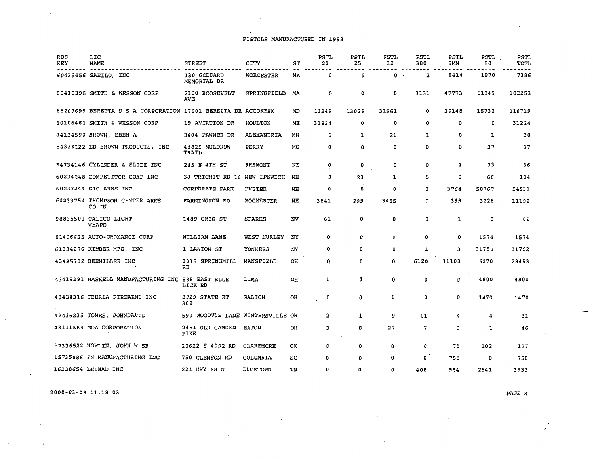# PISTOLS MANUFACTURED IN 1998

 $\mathcal{A}^{\mathcal{A}}$  and  $\mathcal{A}^{\mathcal{A}}$  and  $\mathcal{A}^{\mathcal{A}}$ 

| <b>RDS</b><br>KEY | LIC<br>NAME                                                  | <b>STREET</b>                    | <b>CITY</b>         | ST | PSTL<br>22 | PSTL<br>25 | PSTL<br>32  | <b>PSTL</b><br>380 | PSTL<br>9MM | PSTL<br>50 | PSTL<br>TOTL |
|-------------------|--------------------------------------------------------------|----------------------------------|---------------------|----|------------|------------|-------------|--------------------|-------------|------------|--------------|
|                   | 60435456 SAEILO, INC                                         | 130 GODDARD<br>MEMORIAL DR       | WORCESTER           | МA | 0          | 0          | $0 \cdot$   | 2                  | 5414        | 1970       | 7386         |
|                   | 60410395 SMITH & WESSON CORP                                 | 2100 ROOSEVELT<br><b>AVE</b>     | SPRINGFIELD         | МA | 0          | 0          | 0           | 3131               | 47773       | 51349      | 102253       |
|                   | 85207699 BERETTA U S A CORPORATION 17601 BERETTA DR ACCOKEEK |                                  |                     | MD | 11249      | 13029      | 31561       | 0                  | 39148       | 15732      | 110719       |
|                   | 60106460 SMITH & WESSON CORP                                 | 19 AVIATION DR                   | HOULTON             | ME | 31224      | 0          | 0           | 0                  | 0           | 0          | 31224        |
|                   | 34134590 BROWN, EBEN A                                       | 3404 PAWNEE DR                   | ALEXANDRIA          | MN | 6          | 1          | 21          | 1                  | 0           | 1          | 30           |
|                   | 54339122 ED BROWN PRODUCTS, INC                              | 43825 MULDROW<br>TRAIL           | PERRY               | МO | 0          | 0          | 0           | 0                  | 0           | 37         | 37           |
|                   | 54734146 CYLINDER & SLIDE INC                                | 245 E 4TH ST                     | FREMONT             | ΝE | 0          | 0          | 0           | ٥                  | 3           | 33         | 36           |
|                   | 60234248 COMPETITOR CORP INC                                 | 30 TRICNIT RD 16 NEW IPSWICH     |                     | NH | q          | 23         | 1           | 5                  | 0           | 66         | 104          |
|                   | 60233244 SIG ARMS INC                                        | CORPORATE PARK                   | <b>EXETER</b>       | NH | O          | O          | ٥           | 0                  | 3764        | 50767      | 54531        |
|                   | 60233754 THOMPSON CENTER ARMS<br>CO IN                       | FARMINGTON RD                    | <b>ROCHESTER</b>    | NH | 3841       | 299        | 3455        | 0                  | 369         | 3228       | 11192        |
|                   | 98835501 CALICO LIGHT<br>WEAPO                               | 1489 GREG ST                     | SPARKS              | NV | 61         | 0          | $\mathbf 0$ | 0                  | $\mathbf 1$ | 0          | 62           |
|                   | 61406625 AUTO-ORDNANCE CORP                                  | WILLIAM LANE                     | WEST HURLEY         | NY | 0          | 0          | 0           | 0                  | 0           | 1574       | 1574         |
|                   | 61334276 KIMBER MFG, INC                                     | 1 LAWTON ST                      | YONKERS             | NY | 0          | 0          | 0           | 1                  | 3           | 31758      | 31762        |
|                   | 43435702 BEEMILLER INC                                       | 1015 SPRINGMILL<br>RD            | MANSFIELD<br>$\sim$ | OH | 0          | ٥          | 0           | 6120               | 11103       | 6270       | 23493        |
|                   | 43419291 HASKELL MANUFACTURING INC 585 EAST BLUE             | LICK RD                          | LIMA                | OH | 0          | 0          | 0           | 0                  | 0           | 4800       | 4800         |
|                   | 43434316 IBERIA FIREARMS INC                                 | 3929 STATE RT<br>309             | <b>GALION</b>       | OН | 0          | 0          | 0           | 0                  | 0           | 1470       | 1470         |
|                   | 43436235 JONES, JOHNDAVID                                    | 590 WOODVUE LANE WINTERSVILLE OH |                     |    | 2          | 1          | 9           | 11                 | 4           | 4          | 31           |
|                   | 43111589 MOA CORPORATION                                     | 2451 OLD CAMDEN<br>PIKE          | <b>EATON</b>        | OH | 3          | 8          | 27          | 7                  | 0           | 1          | 46           |
|                   | 57336522 NOWLIN, JOHN W SR                                   | 20622 S 4092 RD                  | CLAREMORE           | ОΚ | 0          | 0          | 0           | 0                  | 75          | 102        | 177          |
|                   | 15735886 FN MANUFACTURING INC                                | 750 CLEMSON RD                   | COLUMBIA            | sc | 0          | 0          | 0           | 0                  | 758         | 0          | 758          |
|                   | 16238654 LEINAD INC                                          | 221 HWY 68 N                     | <b>DUCKTOWN</b>     | TN | ٥          | 0          | 0           | 408                | 984         | 2541       | 3933         |

 $\epsilon$ 

 $\cdot$ 

2000-03-08 11.18.03

 $\sim 100$ 

 $\ddot{\phantom{a}}$ 

PAGE 3

£,

 $\mathcal{L}_{\mathcal{L}}$ 

 $\cdot$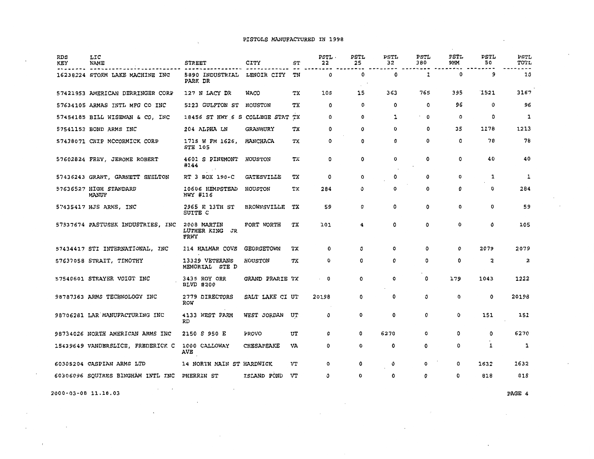#### PISTOLS MANUFACTURED IN 1998

| RDS<br>KEY | LIC<br><b>NAME</b>                | <b>STREET</b>                         | CITY                     | SТ | PSTL.<br>22 | <b>PSTL</b><br>25 | PSTL<br>32 | <b>PSTL</b><br>380 | <b>PSTL</b><br>ЭММ | <b>PSTL</b><br>50 | PSTL<br>TOTL            |
|------------|-----------------------------------|---------------------------------------|--------------------------|----|-------------|-------------------|------------|--------------------|--------------------|-------------------|-------------------------|
|            | 16238224 STORM LAKE MACHINE INC   | 5890 INDUSTRIAL<br>PARK DR            | LENOIR CITY              | TN | 0           | 0                 | 0          | 1                  | 0                  | 9                 | 10                      |
|            | 57421953 AMERICAN DERRINGER CORP  | 127 N LACY DR                         | <b>WACO</b>              | ТX | 108         | 15                | 363        | 765                | 395                | 1521              | 3167                    |
|            | 57634105 ARMAS INTL MFG CO INC    | 5123 GULFTON ST                       | HOUSTON                  | тx | $\circ$     | 0                 | 0          | 0                  | 96                 | 0                 | 96                      |
|            | 57454185 BILL WISEMAN & CO, INC   | 18456 ST HWY 6 S COLLEGE STAT         |                          | ТX | 0           | 0                 | 1          | 0                  | 0                  | 0                 | 1                       |
|            | 57541153 BOND ARMS INC            | 204 ALPHA LN                          | GRANBURY                 | ТX | 0           | 0                 | 0          | 0                  | 35                 | 1178              | 1213                    |
|            | 57438071 CHIP MCCORMICK CORP      | 1715 W FM 1626,<br><b>STE 105</b>     | MANCHACA                 | тx | O           | 0                 | 0          | 0                  | 0                  | 78                | 78                      |
|            | 57602824 FREY, JEROME ROBERT      | 4601 S PINEMONT<br>#144               | <b>HOUSTON</b>           | тx | 0           | 0                 | ٥          | ٥                  | 0                  | 40                | 40                      |
|            | 57436243 GRANT, GARNETT SHELTON   | RT 3 BOX 190-C                        | <b><i>GATESVILLE</i></b> | тx | 0           | 0                 | ٥          | ٥                  | 0                  | 1                 | 1                       |
|            | 57636527 HIGH STANDARD<br>MANUF   | 10606 HEMPSTEAD<br>HWY #116           | HOUSTON                  | тх | 284         | 0                 | 0          | 0                  | 0                  | 0                 | 284                     |
|            | 57435417 HJS ARMS, INC            | 2965 E 13TH ST<br>SUITE C             | <b>BROWNSVILLE</b>       | ТX | 59          | 0                 | ٥          | 0                  | 0                  | 0                 | 59                      |
|            | 57537674 PASTUSEK INDUSTRIES, INC | 2008 MARTIN<br>LUTHER KING JR<br>FRWY | FORT WORTH               | тx | 101         | 4                 | 0          | 0                  | 0                  | 0                 | 105                     |
|            | 57434417 STI INTERNATIONAL, INC   | 114 HALMAR COVE                       | <b>GEORGETOWN</b>        | ТX | 0           | ٥                 | ٥          | ٥                  | ٥                  | 2079              | 2079                    |
|            | 57637058 STRAIT, TIMOTHY          | 13329 VETERANS<br>MEMORIAL<br>STE D   | <b>HOUSTON</b>           | тх | 0           | 0                 | ٥          | 0                  | 0                  | 2                 | $\overline{\mathbf{z}}$ |
|            | 57540601 STRAYER VOIGT INC        | 3435 ROY ORR<br><b>BLVD #200</b>      | GRAND PRARIE TX          |    | 0           | ٥                 | 0          | 0                  | 179                | 1043              | 1222                    |
|            | 98787363 ARMS TECHNOLOGY INC      | 2779 DIRECTORS<br>ROW                 | SALT LAKE CI UT          |    | 20198       | 0                 | 0          | 0                  | 0                  | 0                 | 20198                   |
|            | 98706281 LAR MANUFACTURING INC    | 4133 WEST FARM<br>RD                  | WEST JORDAN              | UT | 0           | 0                 | 0          | 0                  | 0                  | 151               | 151                     |
|            | 98734026 NORTH AMERICAN ARMS INC  | 2150 S 950 E                          | PROVO                    | UT | 0           | 0                 | 6270       | 0                  | 0                  | 0                 | 6270                    |
|            | 15439649 VANDERSLICE, FREDERICK C | 1000 CALLOWAY<br>AVE                  | <b>CHESAPEAKE</b>        | VA | 0           | 0                 | 0          | ٥                  | 0                  | 1                 | 1                       |
|            | 60305204 CASPIAN ARMS LTD         | 14 NORTH MAIN ST HARDWICK             |                          | VT | o           | 0                 | 0          | 0                  | ٥                  | 1632              | 1632                    |
|            | 60306096 SQUIRES BINGHAM INTL INC | <b>PHERRIN ST</b>                     | ISLAND POND              | VT | 0           | 0                 | 0          | ٥                  | 0                  | 818               | 818                     |

 $\mathcal{L}$ 

 $\sim$ 

2000-03-0B 11.18.03

 $\cdot$ 

 $\overline{a}$ 

 $\bar{f}$ 

PAGE 4

 $\sim$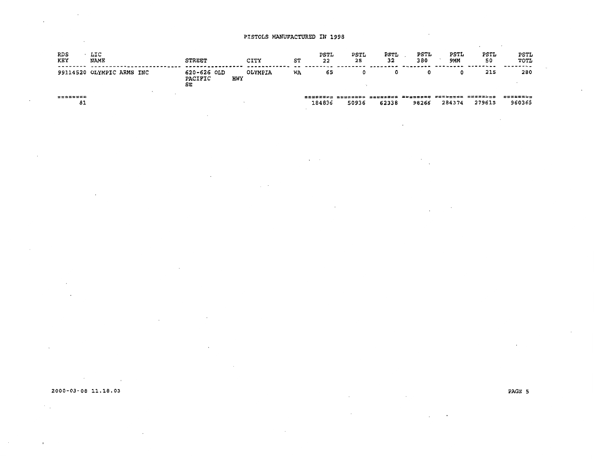| RDS<br>KEY            | LIC<br>NAME               | <b>STREET</b>                |            | CITY    | SТ | PSTL<br>22 | PSTL<br>25 | <b>PSTL</b><br>32                                      | PSTL<br>380 | PSTL<br>9MM | <b>PSTL</b><br>50 | PSTL<br>TOTL             |
|-----------------------|---------------------------|------------------------------|------------|---------|----|------------|------------|--------------------------------------------------------|-------------|-------------|-------------------|--------------------------|
|                       | 99114520 OLYMPIC ARMS INC | 620-626 OLD<br>PACIFIC<br>SE | <b>HWY</b> | OLYMPIA | WA | 65         |            | o                                                      | 0           |             | 215               | 280                      |
| <b>MCGSSWEE</b><br>81 |                           |                              |            |         |    | 184836     | 50936      | 흐흐흐흐흐흐흐흐흐 드드르흐흐흐흐흐 크로ピコラ크교의 프랑글링크코프트 분류적으로부드트<br>62338 | 98266       | 284374      | 279615            | \$\$\$\$\$\$\$<br>960365 |

 $\epsilon=2$ 

 $\cdot$ 

 $\rightarrow$ 

 $\sim$ 

 $\cdot$ 

 $\mathcal{A}^{\mathcal{A}}_{\mathcal{A}}$  and  $\mathcal{A}^{\mathcal{A}}_{\mathcal{A}}$ 

 $\sim$ 

 $\mathcal{F}_{\mathcal{A}}$ 

 $\cdot$ 

 $\frac{1}{2} \sum_{i=1}^n \frac{1}{2} \sum_{j=1}^n \frac{1}{2} \sum_{j=1}^n \frac{1}{2} \sum_{j=1}^n \frac{1}{2} \sum_{j=1}^n \frac{1}{2} \sum_{j=1}^n \frac{1}{2} \sum_{j=1}^n \frac{1}{2} \sum_{j=1}^n \frac{1}{2} \sum_{j=1}^n \frac{1}{2} \sum_{j=1}^n \frac{1}{2} \sum_{j=1}^n \frac{1}{2} \sum_{j=1}^n \frac{1}{2} \sum_{j=1}^n \frac{1}{2} \sum_{j=$ 

2000-03-08 11.18.03

 $\sim 10^{-11}$ 

 $\sim$ 

 $\sim 10$ 

 $\mathcal{L}^{\pm}$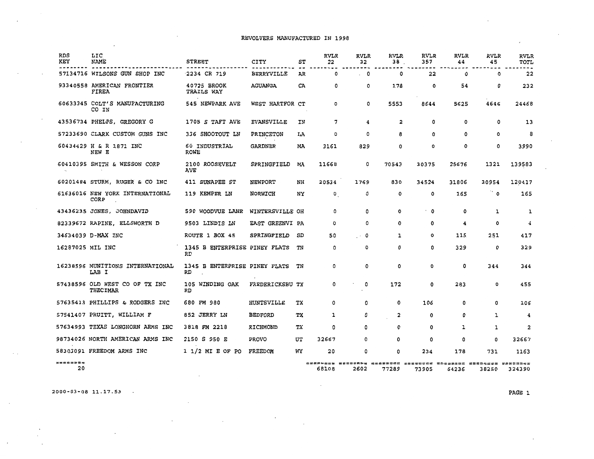| RDS<br>KEY                     | LIC<br>NAME                                | <b>STREET</b>                       | CITY              | ST | <b>RVLR</b><br>22 | <b>RVLR</b><br>32 | <b>RVLR</b><br>38.      | <b>RVLR</b><br>357 | <b>RVLR</b><br>44 | RVLR<br>45                                                             | <b>RVLR</b><br>TOTL |
|--------------------------------|--------------------------------------------|-------------------------------------|-------------------|----|-------------------|-------------------|-------------------------|--------------------|-------------------|------------------------------------------------------------------------|---------------------|
|                                | 57134716 WILSONS GUN SHOP INC              | 2234 CR 719                         | <b>BERRYVILLE</b> | AR | 0                 | $\cdot$ 0         | 0                       | 22                 | 0                 | 0                                                                      | 22                  |
|                                | 93340558 AMERICAN FRONTIER<br>FIREA        | 40725 BROOK<br><b>TRAILS WAY</b>    | AGUANGA           | CA | 0                 | o                 | 178                     | 0                  | 54                | 0                                                                      | 232                 |
|                                | 60633345 COLT'S MANUFACTURING<br>CO IN     | 545 NEWPARK AVE                     | WEST HARTFOR CT   |    | ٥                 | 0                 | 5553                    | 8644               | 5625              | 4646                                                                   | 24468               |
|                                | 43536734 PHELPS, GREGORY G                 | 1705 S TAFT AVE                     | <b>EVANSVILLE</b> | IN | 7                 | 4                 | $\overline{\mathbf{2}}$ | ٥                  | 0                 | 0                                                                      | 13                  |
|                                | 57233690 CLARK CUSTOM GUNS INC             | 336 SHOOTOUT LN                     | PRINCETON         | LA | 0                 | 0                 | 8                       | 0                  | 0                 | 0                                                                      | 8                   |
|                                | 60434429 H & R 1871 INC<br>NEW E           | 60 INDUSTRIAL<br>ROWE               | <b>GARDNER</b>    | MA | 3161              | 829               | 0                       | 0                  | ٥                 | 0                                                                      | 3990                |
|                                | 60410395 SMITH & WESSON CORP               | 2100 ROOSEVELT<br><b>AVE</b>        | SPRINGFIELD       | МA | 11668             | 0                 | 70543                   | 30375              | 25676             | 1321                                                                   | 139583              |
|                                | 60201484 STURM, RUGER & CO INC             | 411 SUNAPEE ST                      | NEWPORT           | NH | 20534             | 1769              | 830                     | 34524              | 31806             | 30954                                                                  | 120417              |
|                                | 61636016 NEW YORK INTERNATIONAL<br>CORP    | 119 KEMPER LN                       | NORWICH           | NY | $\mathbf{0}_{.}$  | 0                 | ٥                       | $\Omega$           | 165               | ் 0                                                                    | 165                 |
|                                | 43436235 JONES, JOHNDAVID                  | 590 WOODVUE LANE                    | WINTERSVILLE OH   |    | 0                 | ٥                 | 0                       | $\cdot$ 0          | $\Omega$          | 1                                                                      | ı                   |
|                                | 82339672 RAPINE, ELLSWORTH D               | 9503 LINDIS LN                      | EAST GREENVI PA   |    | 0                 | 0                 | 0                       | 0                  | 4                 | 0                                                                      | 4                   |
|                                | 34634039 D-MAX INC                         | ROUTE 1 BOX 45                      | SPRINGFIELD       | SD | 50                | $\cdot$ 0         | 1                       | 0                  | 115               | 251                                                                    | 417                 |
| 16287025 MIL INC               |                                            | 1345 B ENTERPRISE PINEY FLATS<br>RD |                   | TN | 0                 | 0                 | 0                       | 0                  | 329               | 0                                                                      | 329                 |
|                                | 16238596 MUNITIONS INTERNATIONAL<br>LAB I  | 1345 B ENTERPRISE PINEY FLATS<br>RD |                   | TN | 0                 | 0                 | 0                       | 0                  | 0                 | 344                                                                    | 344                 |
|                                | 57438596 OLD WEST CO OF TX INC<br>THECIMAR | 105 WINDING OAK<br>RD               | FREDERICKSBU TX   |    | 0                 | 0                 | 172                     | 0                  | 283               | 0                                                                      | 455                 |
|                                | 57635413 PHILLIPS & RODGERS INC            | 680 FM 980                          | HUNTSVILLE        | тx | 0                 | 0                 | 0                       | 106                | 0                 | 0                                                                      | 106                 |
|                                | 57541407 PRUITT, WILLIAM F                 | 852 JERRY LN                        | <b>BEDFORD</b>    | ТX | 1                 | 0                 | $\overline{\mathbf{c}}$ | 0                  | 0                 | 1                                                                      | 4                   |
|                                | 57634993 TEXAS LONGHORN ARMS INC           | 3818 FM 2218                        | RICHMOND          | тx | 0                 | ٥                 | 0                       | 0                  | 1                 | 1                                                                      | 2                   |
|                                | 98734026 NORTH AMERICAN ARMS INC           | 2150 S 950 E                        | <b>PROVO</b>      | UΤ | 32667             | 0                 | ٥                       | 0                  | 0                 | 0                                                                      | 32667               |
|                                | 58303091 FREEDOM ARMS INC                  | $1 1/2$ MI E OF PO                  | FREEDOM           | WY | 20                | 0                 | ٥                       | 234                | 178               | 731                                                                    | 1163                |
| $#$ <b>=</b> = = = = = =<br>20 |                                            |                                     |                   |    | 68108             | 2602              | 77289                   | 73905              | 64236             | 62822656 NOSSSAFN AGAPRIAS AREVSCAN UAADRRAS ABRAAVA IANGSIBF<br>38250 | 324390              |

2000-03-08 11.17.53

 $\sim$ 

 $\overline{a}$ 

 $\sim$ 

PAGE l

÷.

 $\cdot$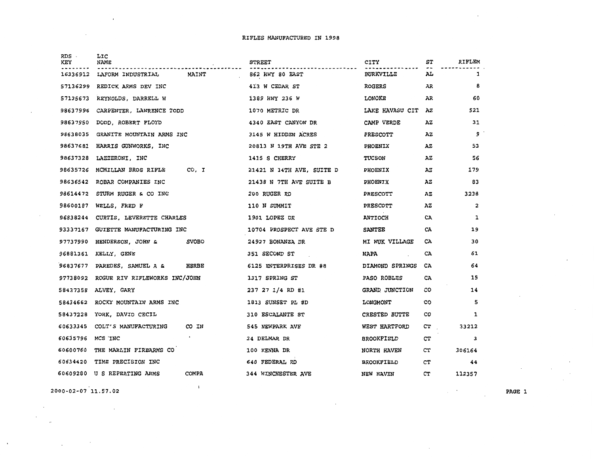| RDS<br>KEY | LIC<br><b>NAME</b><br>and the control of the | <b>STREET</b>             | CITY              | ST  | RIFLEM                  |
|------------|----------------------------------------------|---------------------------|-------------------|-----|-------------------------|
| 16336912   | MAINT<br>LAFORM INDUSTRIAL                   | 862 HWY 80 EAST           | <b>BURKVILLE</b>  | AL  | 1                       |
| 57136299   | REDICK ARMS DEV INC                          | 413 W CEDAR ST            | <b>ROGERS</b>     | AR  | 8                       |
| 57135673   | REYNOLDS, DARRELL W                          | 1389 HWY 236 W            | LONOKE            | AR. | 60                      |
| 98637996   | CARPENTER, LAWRENCE TODD                     | 1070 METRIC DR            | LAKE HAVASU CIT   | AZ  | 521                     |
| 98637950   | DODD, ROBERT FLOYD                           | 4340 EAST CANYON DR       | CAMP VERDE        | ΑZ  | 31                      |
| 98638035   | GRANITE MOUNTAIN ARMS INC                    | 3145 W HIDDEN ACRES       | <b>PRESCOTT</b>   | ΑZ  | 9                       |
|            | 98637681 HARRIS GUNWORKS, INC                | 20813 N 19TH AVE STE 2    | <b>PHOENIX</b>    | ΆZ  | 53                      |
| 98637328   | LAZZERONI, INC                               | 1415 S CHERRY             | TUCSON            | AZ  | 56                      |
| 98635726   | CO, I<br>MCMILLAN BROS RIFLE                 | 21421 N 14TH AVE, SUITE D | <b>PHOENIX</b>    | ΑZ  | 179                     |
| 98636542   | ROBAR COMPANIES INC                          | 21438 N 7TH AVE SUITE B   | <b>PHOENIX</b>    | AZ  | 83                      |
| 98614472   | STURM RUGER & CO INC                         | 200 RUGER RD              | <b>PRESCOTT</b>   | AZ  | 3238                    |
| 98600187   | WELLS, FRED F                                | 110 N SUMMIT              | <b>PRESCOTT</b>   | AZ  | $\overline{\mathbf{c}}$ |
| 96838244   | CURTIS, LEVERETTE CHARLES                    | 1901 LOPEZ DR             | <b>ANTIOCH</b>    | CA  | 1                       |
| 93337167   | GUIETTE MANUFACTURING INC                    | 10704 PROSPECT AVE STE D  | <b>SANTEE</b>     | CA  | 19                      |
|            | 97737990 HENDERSON, JOHN &<br><b>SVOBO</b>   | 24927 BONANZA DR          | MI WUK VILLAGE    | CA. | 30                      |
| 96881361   | KELLY, GENE                                  | 351 SECOND ST             | NAPA              | CA  | 61                      |
| 96837677   | HERBE<br>PAREDES, SAMUEL A &                 | 6125 ENTERPRISES DR #8    | DIAMOND SPRINGS   | CA  | 64                      |
| 97738092   | ROGUE RIV RIFLEWORKS INC/JOHN                | 1317 SPRING ST            | PASO ROBLES       | CA  | 15                      |
| 58437358   | ALVEY, GARY                                  | 237 27 1/4 RD #1          | GRAND JUNCTION    | CO  | 14                      |
| 58434662   | ROCKY MOUNTAIN ARMS INC                      | 1813 SUNSET PL #D         | LONGMONT          | co  | 5                       |
| 58437228   | YORK, DAVID CECIL                            | 310 ESCALANTE ST          | CRESTED BUTTE     | CO  | 1                       |
| 60633345   | CO IN<br>COLT'S MANUFACTURING                | 545 NEWPARK AVE           | WEST HARTFORD     | CT  | 33212                   |
| 60635796   | MCS INC                                      | 34 DELMAR DR              | <b>BROOKFIELD</b> | СT  | 3                       |
| 60600760   | THE MARLIN FIREARMS CO                       | 100 KENNA DR              | NORTH HAVEN       | CT  | 306164                  |
| 60634420   | TIME PRECISION INC                           | 640 FEDERAL RD            | <b>BROOKFIELD</b> | CT  | 44                      |
|            | <b>COMPA</b><br>60609280 U S REPEATING ARMS  | 344 WINCHESTER AVE        | <b>NEW HAVEN</b>  | CТ  | 112357                  |
|            |                                              |                           |                   |     |                         |

 $\mathbf{1}$ 

2000-02-07 11.57.02

 $\sim$ 

 $\sim$ 

ppe

 $\sim$ 

PAGE l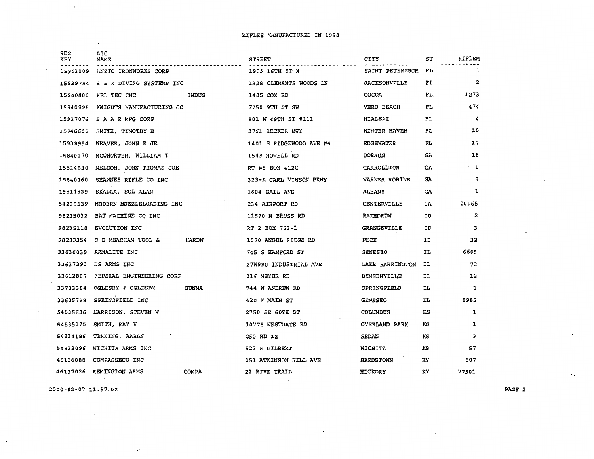| <b>RDS</b><br>KEY | LIC<br>NAME                       | <b>STREET</b>           | CITY                 | SТ  | RIFLEM<br>1             |
|-------------------|-----------------------------------|-------------------------|----------------------|-----|-------------------------|
| 15943009          | ANZIO IRONWORKS CORP              | 1905 16TH ST N          | SAINT PETERSBUR FL   |     |                         |
| 15939794          | B & K DIVING SYSTEMS INC          | 1328 CLEMENTS WOODS LN  | <b>JACKSONVILLE</b>  | FL  | $\overline{\mathbf{2}}$ |
| 15940806          | INDUS<br>KEL TEC CNC              | 1485 COX RD             | <b>COCOA</b>         | FL. | 1273                    |
|                   | 15940998 KNIGHTS MANUFACTURING CO | 7750 9TH ST SW          | <b>VERO BEACH</b>    | FL. | 474                     |
|                   | 15937076 SAARMFG CORP             | 801 W 49TH ST #111      | HIALEAH              | FL  | 4                       |
| 15946669          | SMITH, TIMOTHY E                  | 3761 RECKER HWY         | WINTER HAVEN         | FL  | 10                      |
| 15939954          | WEAVER, JOHN R JR                 | 1401 S RIDGEWOOD AVE #4 | <b>EDGEWATER</b>     | FL  | 17                      |
| 15840170          | MCWHORTER, WILLIAM T              | 1549 HOWELL RD          | <b>DOERUN</b>        | GA. | 18                      |
| 15814830          | NELSON, JOHN THOMAS JOE           | RT #5 BOX 412C          | CARROLLTON           | GА  | $\cdot$ 1               |
| 15840160          | SHAWNEE RIFLE CO INC              | 323-A CARL VINSON PKWY  | WARNER ROBINS        | GA. | 8                       |
| 15814839          | SKALLA, SOL ALAN                  | 1604 GAIL AVE           | <b>ALBANY</b>        | GA  | 1                       |
| 54235539          | MODERN MUZZLELOADING INC          | 234 AIRPORT RD          | CENTERVILLE          | IA  | 10965                   |
| 98235032          | BAT MACHINE CO INC                | 11570 N BRUSS RD        | RATHDRUM             | ID  | 2                       |
| 98235118          | EVOLUTION INC                     | RT 2 BOX 763-L          | <b>GRANGEVILLE</b>   | ID  | 3                       |
| 98233354          | HARDW<br>S D MEACHAM TOOL &       | 1070 ANGEL RIDGE RD     | PECK                 | ID  | 32                      |
| 33636039          | ARMALITE INC                      | 745 S HANFORD ST        | <b>GENESEO</b>       | IL  | 6605                    |
| 33637390          | DS ARMS INC                       | 27W990 INDUSTRIAL AVE   | LAKE BARRINGTON      | IL  | 72                      |
| 33612807          | FEDERAL ENGINEERING CORP          | 316 MEYER RD            | <b>BENSENVILLE</b>   | IJ  | 12                      |
| 33733384          | GUNMA<br>OGLESBY & OGLESBY        | 744 W ANDREW RD         | SPRINGFIELD          | IL  | ı                       |
| 33635798          | SPRINGFIELD INC                   | 420 W MAIN ST           | <b>GENESEO</b>       | IL  | 5982                    |
| 54835636          | HARRISON, STEVEN W                | 2750 SE 60TH ST         | COLUMBUS             | KS  | 1                       |
| 54835175          | SMITH, RAY V                      | 10778 WESTGATE RD       | <b>OVERLAND PARK</b> | KS  | 1                       |
| 54834186          | TERNING, AARON                    | 250 RD 12               | <b>SEDAN</b>         | KS  | з                       |
| 54833096          | WICHITA ARMS INC                  | 923 E GILBERT           | WICHITA              | KS  | 57                      |
| 46136888          | COMPASSECO INC                    | 151 ATKINSON HILL AVE   | <b>BARDSTOWN</b>     | КY  | 507                     |
| 46137026          | REMINGTON ARMS<br><b>COMPA</b>    | 22 RIFE TRAIL           | HICKORY              | KY  | 77501                   |
|                   |                                   |                         |                      |     |                         |

2000-02-07 11.57.02

 $\sim$ 

 $\cdot$ 

 $\checkmark$ 

 $\cdot$ 

 $\sim$ 

 $\mathcal{L}_{\mathcal{A}}$ 

PAGE 2

 $\mathcal{L}_{\mathcal{A}}$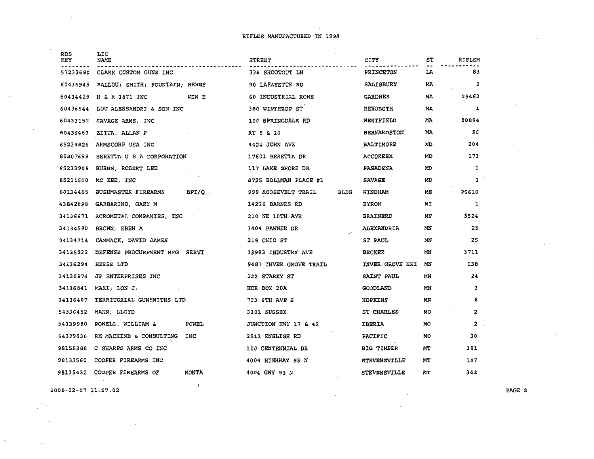$\mathcal{L}_{\mathcal{A}}$ 

 $\sim$ 

 $\ddot{\phantom{1}}$ 

| <b>RDS</b><br>KEY | LIC<br>NAME                                 | <b>STREET</b>                      | <b>CITY</b>         | SΤ | RIFLEM                  |
|-------------------|---------------------------------------------|------------------------------------|---------------------|----|-------------------------|
| 57233690          | CLARK CUSTOM GUNS INC                       | 336 SHOOTOUT LN                    | <b>PRINCETON</b>    | LA | 83                      |
| 60435945          | BALLOU; SMITH; FOUNTAIN; BERNS              | 90 LAFAYETTE RD                    | <b>SALISBURY</b>    | MA | $\overline{\mathbf{2}}$ |
| 60434429          | H & R 1871 INC<br>NEW E                     | 60 INDUSTRIAL ROWE                 | GARDNER             | MA | 29462                   |
| 60436544          | LOU ALESSANDRI & SON INC                    | 380 WINTHROP ST                    | <b>REHOBOTH</b>     | МA | 1                       |
| 60433152          | SAVAGE ARMS, INC                            | 100 SPRINGDALE RD                  | WESTFIELD           | MA | 80894                   |
| 60436463          | ZITTA, ALLAN P                              | RT 5 & 10                          | <b>BERNARDSTON</b>  | MÄ | 50                      |
| 85234826          | ARMSCORP USA INC                            | 4424 JOHN AVE                      | BALTIMORE           | MD | 204                     |
| 85207699          | BERETTA U S A CORPORATION                   | 17601 BERETTA DR                   | <b>ACCOKEEK</b>     | МD | 171                     |
| 85233969          | BURNS, ROBERT LEE                           | 117 LAKE SHORE DR                  | PASADENA            | MD | ı                       |
| 85211500          | MC KEE, INC                                 | 8725 BOLLMAN PLACE #1              | <b>SAVAGE</b>       | MD | 1                       |
| 60134465          | <b>BUSHMASTER FIREARMS</b><br>BFI/Q .       | 999 ROOSEVELT TRAIL<br><b>BLDG</b> | WINDHAM             | MЕ | 25610                   |
| 43842898          | GARBARINO, GARY M                           | 14236 BARNES RD                    | <b>BYRON</b>        | MI | 1                       |
| 34136671          | ACROMETAL COMPANIES, INC                    | 210 NE 10TH AVE                    | BRAINERD            | MN | 5524                    |
| 34134590          | BROWN, EBEN A                               | 3404 PAWNEE DR                     | ALEXANDRIA          | MN | 25                      |
| 34134714          | CAMMACK, DAVID JAMES                        | 215 OHIO ST                        | <b>ST PAUL</b>      | MN | 25                      |
| 34135232          | DEFENSE PROCUREMENT MFG SERVI               | 13983 INDUSTRY AVE                 | <b>BECKER</b>       | МN | 3711                    |
| 34136294          | HESSE LTD                                   | 9487 INVER GROVE TRAIL             | INVER GROVE HEI     | MN | 138                     |
| 34136974          | JP ENTERPRISES INC                          | 222 STARKY ST                      | SAINT PAUL          | ΜN | 24                      |
| 34136841          | MAKI, LON J.                                | HCR BOX 20A                        | <b>GOODLAND</b>     | MN | 3                       |
| 34136407          | TERRITORIAL GUNSMITHS LTD                   | 733 6TH AVE S                      | HOPKINS             | МN | 6                       |
| 54336452          | HAHN, LLOYD                                 | 3101 SUSSEX                        | ST CHARLES          | MО | 2                       |
| 54339980          | POWELL, WILLIAM &<br>POWEL                  | JUNCTION HWY 17 & 42               | <b>IBERIA</b>       | MО | 2                       |
| 54339630          | RH MACHINE & CONSULTING<br>INC              | 2913 ENGLISH RD                    | PACIFIC             | МO | $30 -$                  |
| 98155388          | C SHARPS ARMS CO INC                        | 100 CENTENNIAL DR                  | <b>BIG TIMBER</b>   | MТ | 381                     |
| 98133560          | COOPER FIREARMS INC                         | 4004 HIGHWAY 93 N                  | <b>STEVENSVILLE</b> | MТ | 147                     |
|                   | 98135432 COOPER FIREARMS OF<br><b>MONTA</b> | 4004 GWY 93 N                      | <b>STEVENSVILLE</b> | MТ | 342                     |
|                   |                                             |                                    |                     |    |                         |

2000-02-07 11.57.02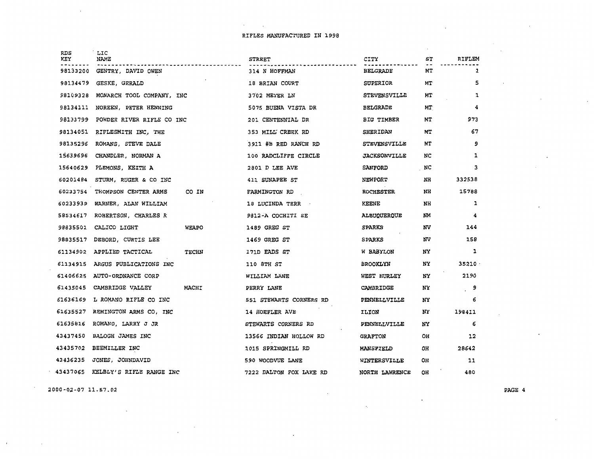$\mathcal{A}^{\mathcal{A}}$  and  $\mathcal{A}^{\mathcal{A}}$  and  $\mathcal{A}^{\mathcal{A}}$ 

| RDS<br>KEY | LIC<br>NAME                      | STREET                  | CITY                | ST        | RIFLEM       |  |
|------------|----------------------------------|-------------------------|---------------------|-----------|--------------|--|
| 98133200   | GENTRY, DAVID OWEN               | 314 N HOFFMAN           | <b>BELGRADE</b>     | MT        | $\mathbf{1}$ |  |
| 98134479   | GESKE, GERALD                    | 18 BRIAN COURT          | SUPERIOR            | MТ        | 5            |  |
| 98109328   | MONARCH TOOL COMPANY, INC        | 3702 MEYER LN           | <b>STEVENSVILLE</b> | MТ        | 1            |  |
| 98134111   | NOREEN, PETER HENNING            | 5075 BUENA VISTA DR     | <b>BELGRADE</b>     | МT        | 4            |  |
| 98133799   | POWDER RIVER RIFLE CO INC        | 201 CENTENNIAL DR       | BIG TIMBER          | MТ        | 973          |  |
| 98134051   | RIFLESMITH INC, THE              | 353 MILL CREEK RD       | SHERIDAN            | MТ        | 67           |  |
| 98135296   | ROMANS, STEVE DALE               | 3911 #B RED RANCH RD    | <b>STEVENSVILLE</b> | MТ        | 9            |  |
| 15639696   | CHANDLER, NORMAN A               | 100 RADCLIFFE CIRCLE    | <b>JACKSONVILLE</b> | NC        | 1            |  |
| 15640629   | PLEMONS, KEITH A                 | 2801 D LEE AVE          | <b>SANFORD</b>      | NC        | з            |  |
| 60201484   | STURM, RUGER & CO INC            | 411 SUNAPEE ST          | <b>NEWPORT</b>      | NH        | 332538       |  |
| 60233754   | THOMPSON CENTER ARMS<br>CO IN    | <b>FARMINGTON RD</b>    | <b>ROCHESTER</b>    | NH        | 15788        |  |
| 60233939   | WARNER, ALAN WILLIAM             | <b>18 LUCINDA TERR</b>  | KEENE               | NH        | 1            |  |
| 58534617   | ROBERTSON, CHARLES R             | 9812-A COCHITI SE       | ALBUQUERQUE         | <b>NM</b> | 4            |  |
| 98835501   | CALICO LIGHT<br>WEAPO            | 1489 GREG ST            | <b>SPARKS</b>       | NV        | 144          |  |
| 98835517   | DEBORD, CURTIS LEE               | 1469 GREG ST            | <b>SPARKS</b>       | NV.       | 158          |  |
| 61134902   | APPLIED TACTICAL<br><b>TECHN</b> | 171D EADS ST            | W BABYLON           | NY        | 1            |  |
| 61134915   | ARGUS PUBLICATIONS INC           | 110 STH ST              | <b>BROOKLYN</b>     | NY        | 35210        |  |
| 61406625   | AUTO-ORDNANCE CORP               | WILLIAM LANE            | WEST HURLEY         | ΝÝ        | 2190         |  |
| 61435045   | CAMBRIDGE VALLEY<br><b>MACHI</b> | PERRY LANE              | CAMBRIDGE           | NY        | 9            |  |
| 61636169   | L ROMANO RIFLE CO INC            | 551 STEWARTS CORNERS RD | PENNELLVILLE        | NΥ        | 6            |  |
| 61635527   | REMINGTON ARMS CO, INC           | 14 HOEFLER AVE          | ILION               | NY        | 198411       |  |
| 61635816   | ROMANO, LARRY J JR               | STEWARTS CORNERS RD     | PENNELLVILLE        | NΥ        | 6            |  |
| 43437450   | BALOGH JAMES INC                 | 13566 INDIAN HOLLOW RD  | <b>GRAFTON</b>      | OН        | 12           |  |
| 43435702   | BEEMILLER INC                    | 1015 SPRINGMILL RD      | <b>MANSFIELD</b>    | OH        | 28642        |  |
| 43436235   | JONES, JOHNDAVID                 | 590 WOODVUE LANE        | WINTERSVILLE        | OH        | 11           |  |
| 43437065   | KELBLY'S RIFLE RANGE INC         | 7222 DALTON FOX LAKE RD | NORTH LAWRENCE      | OH        | 480          |  |
|            |                                  |                         |                     |           |              |  |

2000-02-07 11.57.02

 $\cdot$ 

 $\overline{a}$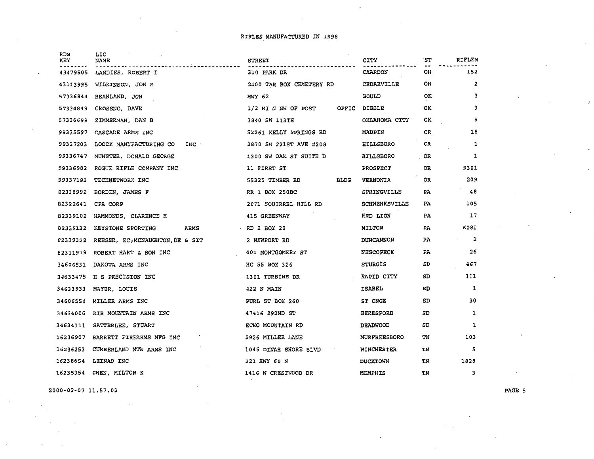| <b>RDS</b><br>KEY | LIC<br>NAME                               | <b>STREET</b>                  | <b>CITY</b>          | `ST       | RIFLEM                  |
|-------------------|-------------------------------------------|--------------------------------|----------------------|-----------|-------------------------|
| 43479505          | LANDIES, ROBERT I                         | 310 PARK DR                    | <b>CHARDON</b>       | OH        | 152                     |
| 43113995          | WILKINSON, JON R                          | 2400 TAR BOX CEMETERY RD       | <b>CEDARVILLE</b>    | OH        | $\overline{\mathbf{2}}$ |
| 57336844          | BEANLAND, JON                             | HWY 62                         | <b>GOULD</b>         | OK.       | з                       |
| 57334849          | CROSSNO, DAVE                             | $1/2$ MI N NW OF POST          | OFFIC DIBBLE         | 0K        | з                       |
| 57336699          | ZIMMERMAN, DAN B                          | 3840 SW 113TH                  | OKLAHOMA CITY        | <b>OK</b> | 5                       |
| 99335597          | CASCADE ARMS INC                          | 52261 KELLY SPRINGS RD         | <b>MAUPIN</b>        | OR        | 18                      |
| 99337203          | INC ·<br>LOOCK MANUFACTURING CO           | 2870 SW 221ST AVE #208         | <b>HILLSBORO</b>     | OR        | 1                       |
| 99336747          | MUNSTER, DONALD GEORGE                    | 1300 SW OAK ST SUITE D         | <b>HILLSBORO</b>     | OR        | 1                       |
| 99336982          | ROGUE RIFLE COMPANY INC                   | 11 FIRST ST                    | PROSPECT             | 0R        | 9301                    |
| 99337182          | TECHNETWORK INC                           | <b>ELDG</b><br>55325 TIMBER RD | VERNONIA             | OR.       | 209                     |
| 82338992          | BORDEN, JAMES F                           | RR 1 BOX 250BC                 | SPRINGVILLE          | PA        | 48                      |
| 82322641          | CPA CORP                                  | 2071 SQUIRREL HILL RD          | <b>SCHWENKSVILLE</b> | PA.       | 105                     |
| 82339102          | HAMMONDS, CLARENCE H                      | 415 GREENWAY                   | RED LION             | PA        | 17                      |
| 82339132          | ARMS<br><b>KEYSTONE SPORTING</b>          | $\cdot$ RD 2 BOX 20            | MILTON               | PA        | 6081                    |
|                   | 82339322 REESER, EC; MCNAUGHTON, DE & SIT | 2 NEWPORT RD                   | <b>DUNCANNON</b>     | PA.       | 2                       |
| 82311979          | ROBERT HART & SON INC                     | 401 MONTGOMERY ST              | <b>NESCOPECK</b>     | PA        | 26                      |
| 34606531          | DAKOTA ARMS INC                           | HC 55 BOX 326                  | <b>STURGIS</b>       | SD        | 467                     |
| 34633475          | H S PRECISION INC                         | 1301 TURBINE DR                | RAPID CITY           | SD        | 111                     |
| 34633933          | MAYER, LOUIS                              | 422 N MAIN                     | ISABEL               | SD        | 1                       |
| 34606554          | MILLER ARMS INC                           | PURL ST BOX 260                | ST ONGE              | SD        | 30                      |
| 34634006          | RIB MOUNTAIN ARMS INC                     | 47416 292ND ST                 | <b>BERESFORD</b>     | SD        | 1                       |
| 34634111          | SATTERLEE, STUART                         | ECHO MOUNTAIN RD               | <b>DEADWOOD</b>      | SD        | 1                       |
| 16236907          | BARRETT FIREARMS MFG INC                  | 5926 MILLER LANE               | <b>MURFREESBORO</b>  | TN        | 103                     |
| 16236253          | CUMBERLAND MTN ARMS INC                   | 1045 DINAH SHORE BLVD          | WINCHESTER           | TN        | 5                       |
| 16238654          | LEINAD INC                                | 221 HWY 68 N                   | <b>DUCKTOWN</b>      | TN        | 1828                    |
| 16235354          | OWEN, MILTON K                            | 1416 W CRESTWOOD DR            | <b>MEMPHIS</b>       | TN        | 3                       |
|                   |                                           |                                |                      |           |                         |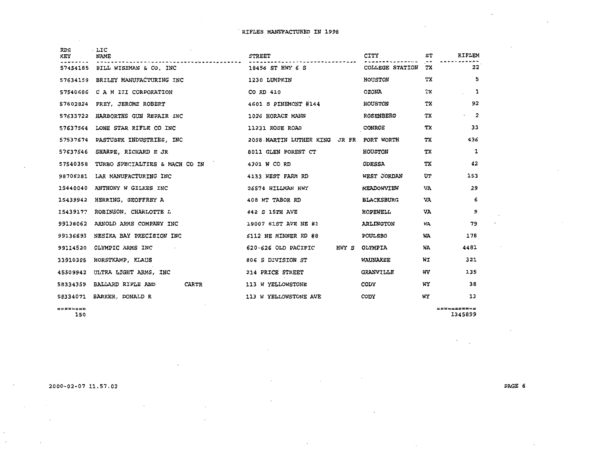$\bar{z}$ 

| <b>RDS</b> | . LIC                             |                                          |                        |    |                              |
|------------|-----------------------------------|------------------------------------------|------------------------|----|------------------------------|
| KEY        | NAME                              | <b>STREET</b>                            | CITY                   | ST | <b>RIFLEM</b>                |
| 57454185   | BILL WISEMAN & CO. INC            | 18456 ST HWY 6 S                         | <b>COLLEGE STATION</b> | тx | 22                           |
| 57634159   | BRILEY MANUFACTURING INC          | 1230 LUMPKIN                             | <b>HOUSTON</b>         | тх | 5                            |
| 57540686   | C A M III CORPORATION             | CO RD 410                                | <b>OZONA</b>           | ТX | 1                            |
| 57602824   | FREY, JEROME ROBERT               | 4601 S PINEMONT #144                     | <b>HOUSTON</b>         | тх | 92                           |
| 57633722   | HARBORTHS GUN REPAIR INC          | 1026 HORACE MANN                         | <b>ROSENBERG</b>       | ТX | $\cdot$ 2                    |
| 57637564   | LONE STAR RIFLE CO INC            | 11231 ROSE ROAD                          | <b>CONROE</b>          | ТX | 33                           |
| 57537674   | PASTUSEK INDUSTRIES, INC          | 2008 MARTIN LUTHER KING JR FR FORT WORTH |                        | ТX | 436                          |
| 57637646   | SHARPE, RICHARD E JR              | 8011 GLEN FOREST CT                      | <b>HOUSTON</b>         | тx | 1                            |
| 57540358   | TURBO SPECIALTIES & MACH CO IN    | 4301 W CO RD                             | <b>ODESSA</b>          | ТX | 42                           |
| 98706281   | LAR MANUFACTURING INC             | 4133 WEST FARM RD                        | WEST JORDAN            | UT | 153                          |
| 15440040   | ANTHONY W GILKES INC              | 26574 HILLMAN HWY                        | MEADOWVIEW             | VA | 29                           |
| 15439942   | HERRING, GEOFFREY A               | 408 MT TABOR RD                          | <b>BLACKSBURG</b>      | VA | 6                            |
| 15439177   | ROBINSON, CHARLOTTE L             | 442 S 15TH AVE                           | HOPEWELL               | VA | 9                            |
| 99138062   | ARNOLD ARMS COMPANY INC           | 19007 61ST AVE NE #1                     | <b>ARLINGTON</b>       | WA | 79                           |
| 99136693   | NESIKA BAY PRECISION INC          | 6112 NE MINNER RD #8                     | <b>POULSBO</b>         | WA | 178                          |
| 99114520   | OLYMPIC ARMS INC                  | 620-626 OLD PACIFIC<br>HWY S             | OLYMPIA                | WA | 4481                         |
| 33910305   | HORSTKAMP, KLAUS                  | 806 S DIVISION ST                        | WAUNAKEE               | WI | 321                          |
| 45509942   | ULTRA LIGHT ARMS, INC             | 214 PRICE STREET                         | <b>GRANVILLE</b>       | wv | 135                          |
| 58334359   | BALLARD RIFLE AND<br><b>CARTR</b> | 113 W YELLOWSTONE                        | CODY                   | WY | 38                           |
|            | 58334071 BARKER, DONALD R         | 113 W YELLOWSTONE AVE                    | CODY                   | WY | 13                           |
| ========   | 150                               |                                          |                        |    | <b>=F=F=F=F=F</b><br>1345899 |

 $\mathcal{L}_{\mathcal{A}}$ 

 $\sim$ 

 $\sim$ 

 $^\star$ 

 $\sim$ 

 $\sim$ 

 $\bullet$ 

 $\mathcal{F}=\mathcal{F}$ 

2000-02-07 11.57.02

 $\sim$ 

 $\sim$ 

 $\mathcal{L}_{\rm{in}}$ 

 $\sim$ 

 $\lambda$  $\ddot{\phantom{a}}$   $\sim$ 

 $\lambda$ 

 $\sim$   $\sim$ 

PAGE 6

 $\ddot{\phantom{a}}$ 

 $\sim$  $\ddot{\phantom{0}}$ 

 $\sim$ 

 $\lambda$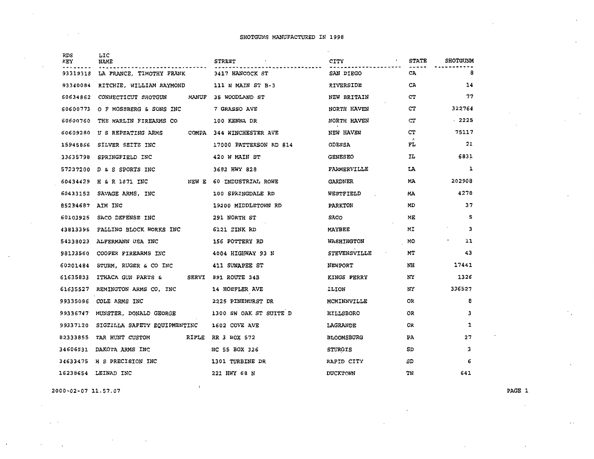| <b>RDS</b><br>KEY | LIC<br>NAME                          | <b>STREET</b>              | CITY                | <b>STATE</b>    | <b>SHOTGUNM</b> |
|-------------------|--------------------------------------|----------------------------|---------------------|-----------------|-----------------|
| 93319318          | LA FRANCE, TIMOTHY FRANK             | 3417 HANCOCK ST            | SAN DIEGO           | CA.             | 8               |
| 93340084          | RITCHIE, WILLIAM RAYMOND             | 111 N MAIN ST B-3          | RIVERSIDE           | CA              | 14              |
| 60634862          | CONNECTICUT SHOTGUN<br><b>MANUF</b>  | 35 WOODLAND ST             | NEW BRITAIN         | CT              | 77              |
| 60600773          | O F MOSSBERG & SONS INC              | 7 GRASSO AVE               | NORTH HAVEN         | CT              | 322764          |
| 60600760          | THE MARLIN FIREARMS CO               | 100 KENNA DR               | NORTH HAVEN         | CT              | $-2225$         |
|                   | 60609280 U S REPEATING ARMS<br>COMPA | <b>344 WINCHESTER AVE</b>  | NEW HAVEN           | CT              | 75117           |
|                   | 15945866 SILVER SEITZ INC            | 17000 PATTERSON RD #14     | <b>ODESSA</b>       | $\lambda$<br>FL | 21              |
| 33635798          | SPRINGFIELD INC                      | 420 W MAIN ST              | <b>GENESEO</b>      | IL              | 6831            |
|                   | 57237200 D & S SPORTS INC            | 3682 HWY 828               | FARMERVILLE         | LA              | 1               |
| 60434429          | H & R 1871 INC                       | NEW E 60 INDUSTRIAL ROWE   | GARDNER             | MA              | 202908          |
|                   | 60433152 SAVAGE ARMS, INC            | 100 SPRINGDALE RD          | WESTFIELD           | MA              | 4278            |
| 85234687 AIM INC  |                                      | 19200 MIDDLETOWN RD        | <b>PARKTON</b>      | MD              | 37              |
| 60103925          | SACO DEFENSE INC                     | 291 NORTH ST               | <b>SACO</b>         | ME              | 5               |
| 43813395          | FALLING BLOCK WORKS INC              | 6121 ZINK RD               | MAYBEE              | ΜÏ              | 3               |
| 54338023          | ALFERMANN USA INC                    | 156 POTTERY RD             | <b>WASHINGTON</b>   | МO              | $\bullet$<br>11 |
| 98133560          | COOPER FIREARMS INC                  | 4004 HIGHWAY 93 N          | <b>STEVENSVILLE</b> | МT              | 43              |
| 60201484          | STURM, RUGER & CO INC                | 411 SUNAPEE ST             | NEWPORT             | NH              | 17441           |
| 61635833          | ITHACA GUN PARTS &                   | <b>SERVI 891 ROUTE 34B</b> | <b>KINGS FERRY</b>  | NY              | 1326            |
| 61635527          | REMINGTON ARMS CO, INC               | 14 HOEFLER AVE             | ILION               | NY              | 336527          |
| 99335096          | COLE ARMS INC                        | 2225 PINEHURST DR          | MCMINNVILLE         | 0R              | 8               |
| 99336747          | MUNSTER, DONALD GEORGE               | 1300 SW OAK ST SUITE D     | HILLSBORO           | 0R              | з               |
| 99337120          | SIGZILLA SAFETY EQUIPMENTINC         | 1602 COVE AVE              | LAGRANDE            | 0R              | 1               |
| 82333855          | TAR HUNT CUSTOM<br>RIFLE             | RR 3 BOX 572               | <b>BLOOMSBURG</b>   | PA              | 27              |
| 34606531          | DAKOTA ARMS INC                      | HC 55 BOX 326              | <b>STURGIS</b>      | SD              | з               |
| 34633475          | H S PRECISION INC                    | 1301 TURBINE DR            | RAPID CITY          | SD              | 6               |
| 16238654          | LEINAD INC                           | 221 HWY 68 N               | <b>DUCKTOWN</b>     | TN              | 641             |

2000-02-07 ll.57.07

 $\mathcal{L}^{\mathcal{A}}$  .

 $\mathcal{L}^{\text{max}}$ 

PAGE 1

 $\sim$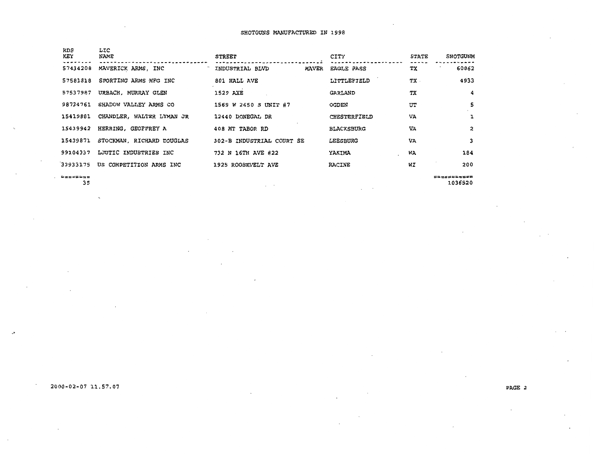| RDS<br>KEY | LIC<br>NAME               | STREET                          | CITY              | <b>STATE</b> | <b>SHOTGUNM</b> |
|------------|---------------------------|---------------------------------|-------------------|--------------|-----------------|
| 57434208   | MAVERICK ARMS, INC        | INDUSTRIAL BLVD<br><b>MAVER</b> | EACLE PASS        | ТX           | 60862           |
| 57581818   | SPORTING ARMS MFG INC     | 801 HALL AVE                    | LITTLEFIELD       | ТX.          | 4933            |
| 57537987   | URBACH, MURRAY GLEN       | 1529 AXE                        | GARLAND           | ТX           | 4               |
| 98734761   | SHADOW VALLEY ARMS CO     | 1569 W 2650 S UNIT #7           | <b>OGDEN</b>      | UT           | 5               |
| 15419881   | CHANDLER, WALTER LYMAN JR | 12440 DONEGAL DR                | CHESTERFIELD      | VA           | $\mathbf{1}$    |
| 15439942   | HERRING, GEOFFREY A       | 408 MT TABOR RD                 | <b>BLACKSBURG</b> | VA           | 2               |
| 15439871   | STOCKMAN, RICHARD DOUGLAS | 302-B INDUSTRIAL COURT SE       | <b>LEESBURG</b>   | VA           | 3               |
| 99104337   | LJUTIC INDUSTRIES INC     | 732 N 16TH AVE #22              | YAKIMA            | WA           | 184             |
| 33933175   | US COMPETITION ARMS INC   | 1925 ROOSEVELT AVE              | <b>RACINE</b>     | WI           | 200             |
|            |                           |                                 |                   |              |                 |

 $\lambda$  $\mathbf{r}$ 

======== 35 =========== 1036520

**Contract State** 

### 2000-02-07 ll.57.07

.,.

PAGE 2

 $\cdot$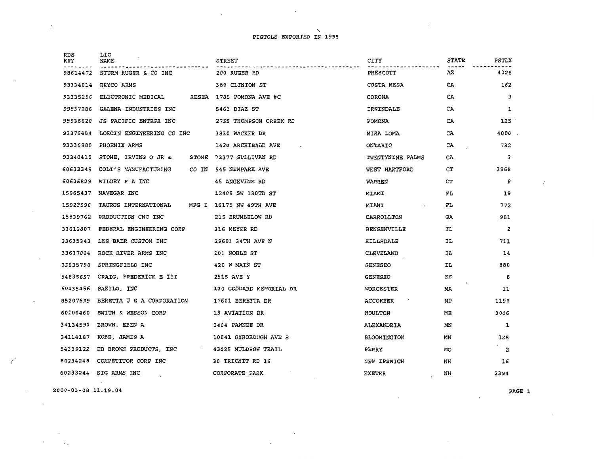$\sim$   $\sim$ 

| RDS<br>KEY | LIC<br>NAME                                  | STREET                                         | CITY                            | <b>STATE</b> | PSTLX                   |  |
|------------|----------------------------------------------|------------------------------------------------|---------------------------------|--------------|-------------------------|--|
| 98614472   | STURM RUGER & CO INC                         | 200 RUGER RD                                   | PRESCOTT                        | AZ           | 4026                    |  |
| 93334014   | BRYCO ARMS                                   | 380 CLINTON ST                                 | COSTA MESA                      | CA           | 162                     |  |
| 93335296   | ELECTRONIC MEDICAL RESEA 1785 POMONA AVE #C  |                                                | CORONA                          | CA           | 3                       |  |
| 99537286   | GALENA INDUSTRIES INC                        | 5463 DIAZ ST                                   | IRWINDALE                       | CA           | 1                       |  |
| 99536620   | JS PACIFIC ENTRPR INC                        | 2755 THOMPSON CREEK RD                         | POMONA                          | CA           | 125                     |  |
| 93376484   | LORCIN ENGINEERING CO INC                    | 3830 WACKER DR                                 | MIRA LOMA                       | CA           | 4000                    |  |
| 93336988   | PHOENIX ARMS                                 | 1420 ARCHIBALD AVE<br><b>Contract Contract</b> | ONTARIO                         | CA           | 732                     |  |
| 93340416   | STONE, IRVING O JR & STONE 73377 SULLIVAN RD |                                                | TWENTYNINE PALMS                | CA           | 3                       |  |
| 60633345   | COLT'S MANUFACTURING CO IN 545 NEWPARK AVE   |                                                | WEST HARTFORD                   | CT           | 396B                    |  |
| 60635829   | WILDEY F A INC                               | 45 ANGEVINE RD                                 | WARREN                          | CT           | 8                       |  |
| 15965437   | NAVEGAR INC                                  | 12405 SW 130TH ST                              | MIAMI                           | FL.          | 19                      |  |
| 15923596   | TAURUS INTERNATIONAL MFG I 16175 NW 49TH AVE |                                                | MIAMI<br>and the control of the | FL           | 772                     |  |
| 15839762   | PRODUCTION CNC INC                           | 215 BRUMBELOW RD                               | CARROLLTON                      | GA.          | 981                     |  |
| 33612807   | FEDERAL ENGINEERING CORP                     | 316 MEYER RD                                   | BENSENVILLE                     | ΙL           | $\overline{z}$          |  |
|            | 33635343 LES BAER CUSTOM INC                 | 29601 34TH AVE N                               | HILLSDALE                       | IL.          | 711                     |  |
|            | 33637004 ROCK RIVER ARMS INC                 | 101 NOBLE ST                                   | CLEVELAND                       | IL           | 14                      |  |
|            | 33635798 SPRINGFIELD INC                     | 420 W MAIN ST                                  | <b>GENESEO</b>                  | IL           | 880                     |  |
|            | 54835657 CRAIG, FREDERICK E III 2515 AVE Y   |                                                | <b>GENESEO</b>                  | κs           | 8                       |  |
|            | 60435456 SAEILO, INC                         | 130 GODDARD MEMORIAL DR                        | WORCESTER                       | MA           | 11                      |  |
|            | 85207699 BERETTAUS A CORPORATION             | 17601 BERETTA DR                               | <b>ACCOKEEK</b>                 | MD           | 1198                    |  |
| 60106460   | SMITH & WESSON CORP                          | 19 AVIATION DR                                 | <b>HOULTON</b>                  | ME           | 3006                    |  |
|            | 34134590 BROWN, EBEN A                       | 3404 PAWNEE DR                                 | ALEXANDRIA                      | MN           | 1                       |  |
|            | 34114187 KOBE, JAMES A                       | 10841 OXBOROUGH AVE S                          | <b>BLOOMINGTON</b>              | MN           | 125                     |  |
|            | 54339122 ED BROWN PRODUCTS, INC              | 43825 MULDROW TRAIL                            | PERRY                           | МO           | $\overline{\mathbf{2}}$ |  |
|            | 60234248 COMPETITOR CORP INC                 | 30 TRICNIT RD 16                               | NEW IPSWICH                     | NH           | 16                      |  |
|            | 60233244 SIG ARMS INC                        | CORPORATE PARK                                 | <b>EXETER</b>                   | NH           | 2394                    |  |

2000-03-08 11.19.04

 $\overline{f}$ 

 $\mathcal{L}$ 

 $\ddot{\cdot}$ 

PAGE 1

 $\ddot{\cdot}$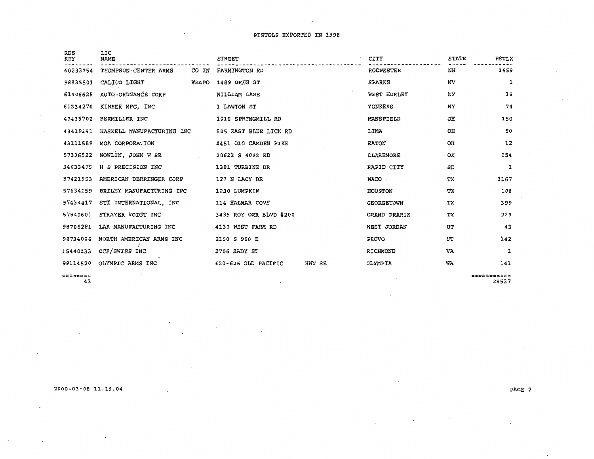$\ddot{\phantom{a}}$ 

 $\sim$ 

 $\overline{\phantom{a}}$ 

| <b>RDS</b><br>KEY<br>60233754 | LIC<br><b>NAME</b><br>THOMPSON CENTER ARMS<br>CO IN | <b>STREET</b><br>FARMINGTON RD |        | CITY<br><b>ROCHESTER</b> | <b>STATE</b><br>NH | <b>PSTLX</b><br>1659 |
|-------------------------------|-----------------------------------------------------|--------------------------------|--------|--------------------------|--------------------|----------------------|
| 98835501                      | CALICO LIGHT WEAPO                                  | 1489 GREG ST                   |        | <b>SPARKS</b>            | NV                 | 1                    |
| 61406625                      | AUTO-ORDNANCE CORP                                  | WILLIAM LANE                   |        | WEST HURLEY              | NY                 | 38                   |
| 61334276                      | KIMBER MFG, INC                                     | 1 LAWTON ST                    |        | YONKERS                  | NY                 | 74                   |
| 43435702                      | BEEMILLER INC                                       | 1015 SPRINGMILL RD             |        | <b>MANSFIELD</b>         | OH                 | 150                  |
| 43419291                      | HASKELL MANUFACTURING INC                           | 585 EAST BLUE LICK RD          |        | LIMA                     | OH                 | 50                   |
| 43111589                      | MOA CORPORATION                                     | 2451 OLD CAMDEN PIKE           |        | <b>EATON</b>             | OH                 | 12                   |
| 57336522                      | NOWLIN, JOHN W SR                                   | 20622 S 4092 RD                |        | CLAREMORE                | ок                 | 154.                 |
| 34633475                      | H S PRECISION INC                                   | 1301 TURBINE DR                |        | RAPID CITY               | SD                 | 1                    |
| 57421953                      | AMERICAN DERRINGER CORP                             | 127 N LACY DR                  |        | WACO ·                   | TX                 | 3167                 |
| 57634159                      | BRILEY MANUFACTURING INC                            | 1230 LUMPKIN                   |        | <b>HOUSTON</b>           | TХ                 | 108                  |
| 57434417                      | STI INTERNATIONAL, INC                              | 114 HALMAR COVE                |        | <b>GEORGETOWN</b>        | ТX                 | 399                  |
| 57540601                      | STRAYER VOIGT INC                                   | 3435 ROY ORR BLVD #200         |        | GRAND PRARIE             | TХ                 | 229                  |
| 98706281                      | LAR MANUFACTURING INC                               | 4133 WEST FARM RD              |        | WEST JORDAN              | UT                 | 43                   |
| 98734026                      | NORTH AMERICAN ARMS INC                             | 2150 S 950 E                   |        | <b>PROVO</b>             | UT                 | 142                  |
| 15440133                      | CCF/SWISS INC                                       | 2706 RADY ST                   |        | RICHMOND                 | VA                 | 1                    |
| 99114520                      | OLYMPIC ARMS INC                                    | 620-626 OLD PACIFIC            | HWY SE | OLYMPIA                  | <b>WA</b>          | 141                  |
|                               |                                                     |                                |        |                          |                    |                      |

 $\begin{array}{c} \texttt{m} = \texttt{m} = \texttt{m} = \texttt{m} \end{array}$ 43

 $\mathcal{A}$ 

 $\overline{\phantom{a}}$ 

 $\ddot{\phantom{a}}$ 

×

 $\overline{a}$ 

=========== 29537

 $\sim$ 

 $\label{eq:2.1} \frac{1}{\sqrt{2\pi}}\int_{\mathbb{R}^3}\frac{1}{\sqrt{2\pi}}\left(\frac{1}{\sqrt{2\pi}}\right)^2\frac{1}{\sqrt{2\pi}}\left(\frac{1}{\sqrt{2\pi}}\right)^2\frac{1}{\sqrt{2\pi}}\frac{1}{\sqrt{2\pi}}\frac{1}{\sqrt{2\pi}}\frac{1}{\sqrt{2\pi}}\frac{1}{\sqrt{2\pi}}\frac{1}{\sqrt{2\pi}}\frac{1}{\sqrt{2\pi}}\frac{1}{\sqrt{2\pi}}\frac{1}{\sqrt{2\pi}}\frac{1}{\sqrt{2\pi}}\frac{1}{\sqrt{$ 

#### 2000-03-08 11.19.04

 $\overline{\phantom{a}}$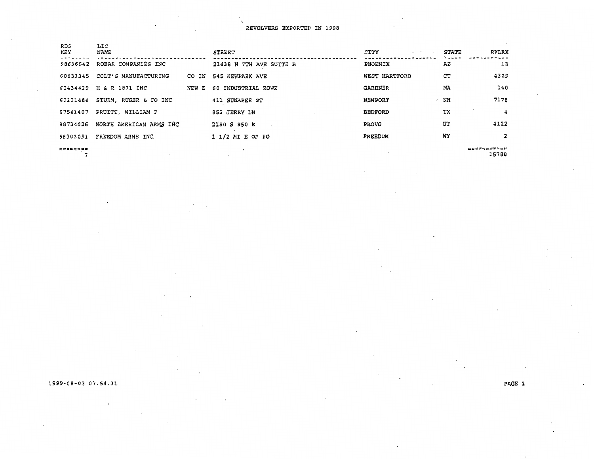|                         |                                                                                                             | STREET                  | CITY<br>Carl Child | <b>STATE</b> | RVLRX                      |
|-------------------------|-------------------------------------------------------------------------------------------------------------|-------------------------|--------------------|--------------|----------------------------|
| ROBAR COMPANIES INC     |                                                                                                             | 21438 N 7TH AVE SUITE B | PHOENIX            | ΑZ           | 13                         |
| COLT'S MANUFACTURING    | CO IN                                                                                                       | 545 NEWPARK AVE         | WEST HARTFORD      | CТ           | 4329                       |
|                         | NEW E                                                                                                       | 60 INDUSTRIAL ROWE      | GARDNER            | MA           | 140                        |
| STURM, RUGER & CO INC   |                                                                                                             | 411 SUNAPEE ST          | <b>NEWPORT</b>     | NH           | 7178                       |
| PRUITT, WILLIAM F       |                                                                                                             | 852 JERRY LN            | <b>BEDFORD</b>     | ТX           |                            |
| NORTH AMERICAN ARMS INC |                                                                                                             | 2150 S 950 E            | <b>PROVO</b>       | UT           | 4122                       |
| FREEDOM ARMS INC        |                                                                                                             | $11/2$ MI E OF PO       | FREEDOM            | WY           | 2                          |
|                         |                                                                                                             |                         |                    |              | <b>EXSUSTEEEE</b><br>15788 |
|                         | 98636542<br>60633345<br>60434429 H & R 1871 INC<br>60201484<br>57541407<br>98734026<br>58303091<br>******** |                         |                    |              |                            |

1999-08-03 07.54.31

PAGE l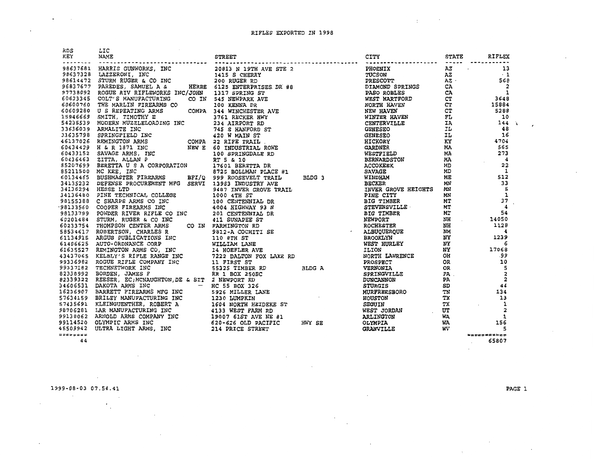| 2021<br>2021 - Linda Contents, Dec. 2021 - 1975 - 2022 - 2022 - 2022 - 2022 - 2022 - 2022 - 2022 - 2022 - 2022 - 2022 - 2022 - 2022 - 2022 - 2022 - 2022 - 2022 - 2022 - 2022 - 2022 - 2022 - 2022 - 2022 - 2022 - 2022 - 2022 |  |  |  |
|--------------------------------------------------------------------------------------------------------------------------------------------------------------------------------------------------------------------------------|--|--|--|
|                                                                                                                                                                                                                                |  |  |  |
|                                                                                                                                                                                                                                |  |  |  |
|                                                                                                                                                                                                                                |  |  |  |
|                                                                                                                                                                                                                                |  |  |  |
|                                                                                                                                                                                                                                |  |  |  |
|                                                                                                                                                                                                                                |  |  |  |
|                                                                                                                                                                                                                                |  |  |  |
|                                                                                                                                                                                                                                |  |  |  |
|                                                                                                                                                                                                                                |  |  |  |
|                                                                                                                                                                                                                                |  |  |  |
|                                                                                                                                                                                                                                |  |  |  |
|                                                                                                                                                                                                                                |  |  |  |
|                                                                                                                                                                                                                                |  |  |  |
|                                                                                                                                                                                                                                |  |  |  |
|                                                                                                                                                                                                                                |  |  |  |
|                                                                                                                                                                                                                                |  |  |  |
|                                                                                                                                                                                                                                |  |  |  |
|                                                                                                                                                                                                                                |  |  |  |
|                                                                                                                                                                                                                                |  |  |  |
|                                                                                                                                                                                                                                |  |  |  |
|                                                                                                                                                                                                                                |  |  |  |
|                                                                                                                                                                                                                                |  |  |  |
|                                                                                                                                                                                                                                |  |  |  |
|                                                                                                                                                                                                                                |  |  |  |
|                                                                                                                                                                                                                                |  |  |  |
|                                                                                                                                                                                                                                |  |  |  |
|                                                                                                                                                                                                                                |  |  |  |
|                                                                                                                                                                                                                                |  |  |  |
|                                                                                                                                                                                                                                |  |  |  |
|                                                                                                                                                                                                                                |  |  |  |
|                                                                                                                                                                                                                                |  |  |  |
|                                                                                                                                                                                                                                |  |  |  |
|                                                                                                                                                                                                                                |  |  |  |
|                                                                                                                                                                                                                                |  |  |  |
|                                                                                                                                                                                                                                |  |  |  |
|                                                                                                                                                                                                                                |  |  |  |
|                                                                                                                                                                                                                                |  |  |  |
|                                                                                                                                                                                                                                |  |  |  |
|                                                                                                                                                                                                                                |  |  |  |
|                                                                                                                                                                                                                                |  |  |  |
|                                                                                                                                                                                                                                |  |  |  |
|                                                                                                                                                                                                                                |  |  |  |
|                                                                                                                                                                                                                                |  |  |  |
|                                                                                                                                                                                                                                |  |  |  |
|                                                                                                                                                                                                                                |  |  |  |
|                                                                                                                                                                                                                                |  |  |  |
|                                                                                                                                                                                                                                |  |  |  |

 $\cdot$ 

44

 $\hat{\phantom{a}}$ 

 $\sim$ 

65807  $\sim$ 

-11

 $\mathcal{C}$ 

 $\mathbf{1}_{\mathcal{M}}$  ,  $\mathcal{M}_{\mathcal{M}}$ 

1999-08-03 07.54.41

 $\sim$ 

 $\cdot$ 

 $\cdot$ 

 $\gamma_{\rm s}$ 

PAGE l